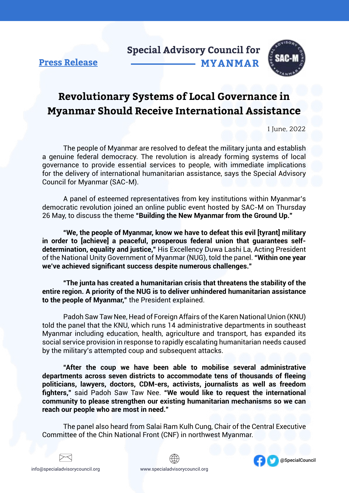**Special Advisory Council for MYANMAR**



#### **Press Release**

## **Revolutionary Systems of Local Governance in Myanmar Should Receive International Assistance**

1 June, 2022

The people of Myanmar are resolved to defeat the military junta and establish a genuine federal democracy. The revolution is already forming systems of local governance to provide essential services to people, with immediate implications for the delivery of international humanitarian assistance, says the Special Advisory Council for Myanmar (SAC-M).

A panel of esteemed representatives from key institutions within Myanmar's democratic revolution joined an online public event hosted by SAC-M on Thursday 26 May, to discuss the theme **"Building the New Myanmar from the Ground Up."**

**"We, the people of Myanmar, know we have to defeat this evil [tyrant] military in order to [achieve] a peaceful, prosperous federal union that guarantees selfdetermination, equality and justice,"** His Excellency Duwa Lashi La, Acting President of the National Unity Government of Myanmar (NUG), told the panel. **"Within one year we've achieved significant success despite numerous challenges."** 

**"The junta has created a humanitarian crisis that threatens the stability of the entire region. A priority of the NUG is to deliver unhindered humanitarian assistance to the people of Myanmar,"** the President explained.

Padoh Saw Taw Nee, Head of Foreign Affairs of the Karen National Union (KNU) told the panel that the KNU, which runs 14 administrative departments in southeast Myanmar including education, health, agriculture and transport, has expanded its social service provision in response to rapidly escalating humanitarian needs caused by the military's attempted coup and subsequent attacks.

**"After the coup we have been able to mobilise several administrative departments across seven districts to accommodate tens of thousands of fleeing politicians, lawyers, doctors, CDM-ers, activists, journalists as well as freedom fighters,"** said Padoh Saw Taw Nee. **"We would like to request the international community to please strengthen our existing humanitarian mechanisms so we can reach our people who are most in need."**

The panel also heard from Salai Ram Kulh Cung, Chair of the Central Executive Committee of the Chin National Front (CNF) in northwest Myanmar.





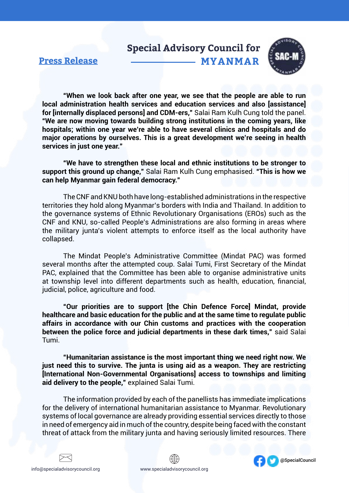### **Special Advisory Council for MYANMAR**

#### **Press Release**



**"When we look back after one year, we see that the people are able to run local administration health services and education services and also [assistance] for [internally displaced persons] and CDM-ers,"** Salai Ram Kulh Cung told the panel. **"We are now moving towards building strong institutions in the coming years, like hospitals; within one year we're able to have several clinics and hospitals and do major operations by ourselves. This is a great development we're seeing in health services in just one year."**

**"We have to strengthen these local and ethnic institutions to be stronger to support this ground up change,"** Salai Ram Kulh Cung emphasised. **"This is how we can help Myanmar gain federal democracy."**

The CNF and KNU both have long-established administrations in the respective territories they hold along Myanmar's borders with India and Thailand. In addition to the governance systems of Ethnic Revolutionary Organisations (EROs) such as the CNF and KNU, so-called People's Administrations are also forming in areas where the military junta's violent attempts to enforce itself as the local authority have collapsed.

The Mindat People's Administrative Committee (Mindat PAC) was formed several months after the attempted coup. Salai Tumi, First Secretary of the Mindat PAC, explained that the Committee has been able to organise administrative units at township level into different departments such as health, education, financial, iudicial, police, agriculture and food.

**"Our priorities are to support [the Chin Defence Force] Mindat, provide healthcare and basic education for the public and at the same time to regulate public affairs in accordance with our Chin customs and practices with the cooperation between the police force and judicial departments in these dark times,"** said Salai Tumi.

**"Humanitarian assistance is the most important thing we need right now. We just need this to survive. The junta is using aid as a weapon. They are restricting [International Non-Governmental Organisations] access to townships and limiting aid delivery to the people,"** explained Salai Tumi.

The information provided by each of the panellists has immediate implications for the delivery of international humanitarian assistance to Myanmar. Revolutionary systems of local governance are already providing essential services directly to those in need of emergency aid in much of the country, despite being faced with the constant threat of attack from the military junta and having seriously limited resources. There